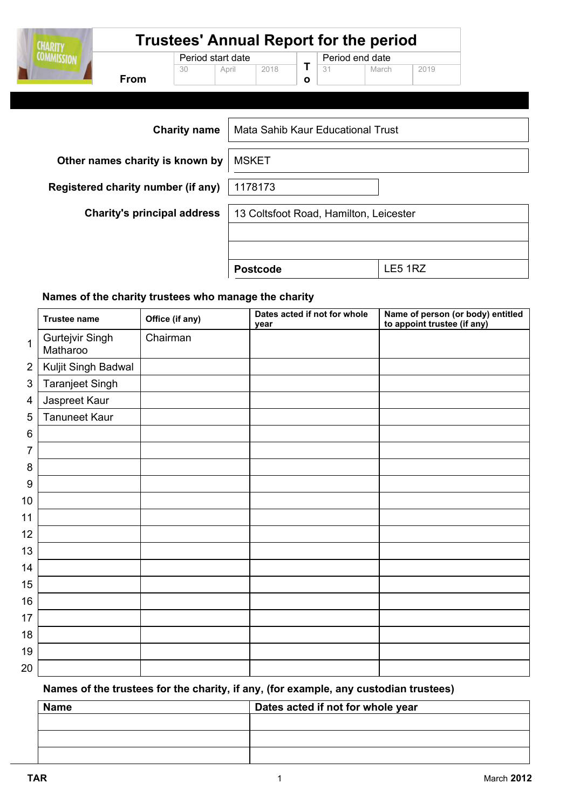| <b>CHARITY</b>    | <b>Trustees' Annual Report for the period</b> |                                  |  |                 |  |    |                                        |         |  |
|-------------------|-----------------------------------------------|----------------------------------|--|-----------------|--|----|----------------------------------------|---------|--|
| <b>COMMISSION</b> | <b>From</b>                                   | Period start date<br>30<br>April |  | 2018            |  | 31 | Period end date<br>March               | 2019    |  |
|                   |                                               | <b>Charity name</b>              |  |                 |  |    | Mata Sahib Kaur Educational Trust      |         |  |
|                   | Other names charity is known by               |                                  |  | <b>MSKET</b>    |  |    |                                        |         |  |
|                   | Registered charity number (if any)            |                                  |  | 1178173         |  |    |                                        |         |  |
|                   | <b>Charity's principal address</b>            |                                  |  |                 |  |    | 13 Coltsfoot Road, Hamilton, Leicester |         |  |
|                   |                                               |                                  |  |                 |  |    |                                        |         |  |
|                   |                                               |                                  |  | <b>Postcode</b> |  |    |                                        | LE5 1RZ |  |

#### Names of the charity trustees who manage the charity

|                | <b>Trustee name</b>         | Office (if any) | Dates acted if not for whole<br>year | Name of person (or body) entitled<br>to appoint trustee (if any) |
|----------------|-----------------------------|-----------------|--------------------------------------|------------------------------------------------------------------|
| $\mathbf{1}$   | Gurtejvir Singh<br>Matharoo | Chairman        |                                      |                                                                  |
| $\overline{2}$ | Kuljit Singh Badwal         |                 |                                      |                                                                  |
| $\mathfrak{S}$ | Taranjeet Singh             |                 |                                      |                                                                  |
| 4              | Jaspreet Kaur               |                 |                                      |                                                                  |
| 5              | <b>Tanuneet Kaur</b>        |                 |                                      |                                                                  |
| 6              |                             |                 |                                      |                                                                  |
| 7              |                             |                 |                                      |                                                                  |
| 8              |                             |                 |                                      |                                                                  |
| 9              |                             |                 |                                      |                                                                  |
| 10             |                             |                 |                                      |                                                                  |
| 11             |                             |                 |                                      |                                                                  |
| 12             |                             |                 |                                      |                                                                  |
| 13             |                             |                 |                                      |                                                                  |
| 14             |                             |                 |                                      |                                                                  |
| 15             |                             |                 |                                      |                                                                  |
| 16             |                             |                 |                                      |                                                                  |
| 17             |                             |                 |                                      |                                                                  |
| 18             |                             |                 |                                      |                                                                  |
| 19             |                             |                 |                                      |                                                                  |
| 20             |                             |                 |                                      |                                                                  |

### Names of the trustees for the charity, if any, (for example, any custodian trustees)

| <b>Name</b> | Dates acted if not for whole year |
|-------------|-----------------------------------|
|             |                                   |
|             |                                   |
|             |                                   |

 $\overline{\phantom{a}}$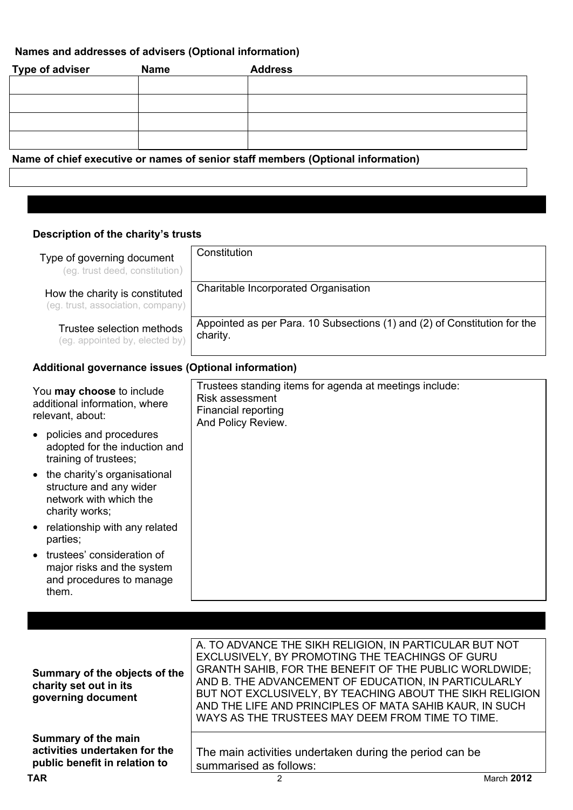## Names and addresses of advisers (Optional information)

| Type of adviser                                                                 | <b>Name</b> | <b>Address</b> |  |  |
|---------------------------------------------------------------------------------|-------------|----------------|--|--|
|                                                                                 |             |                |  |  |
|                                                                                 |             |                |  |  |
|                                                                                 |             |                |  |  |
|                                                                                 |             |                |  |  |
|                                                                                 |             |                |  |  |
|                                                                                 |             |                |  |  |
| Name of chief executive or names of senior staff members (Optional information) |             |                |  |  |

### Description of the charity's trusts

| Type of governing document<br>(eg. trust deed, constitution)                                                     | Constitution                                                                                                                   |
|------------------------------------------------------------------------------------------------------------------|--------------------------------------------------------------------------------------------------------------------------------|
| How the charity is constituted<br>(eg. trust, association, company)                                              | Charitable Incorporated Organisation                                                                                           |
| Trustee selection methods<br>(eg. appointed by, elected by)                                                      | Appointed as per Para. 10 Subsections (1) and (2) of Constitution for the<br>charity.                                          |
| Additional governance issues (Optional information)                                                              |                                                                                                                                |
| You may choose to include<br>additional information, where<br>relevant, about:                                   | Trustees standing items for agenda at meetings include:<br><b>Risk assessment</b><br>Financial reporting<br>And Policy Review. |
| policies and procedures<br>adopted for the induction and<br>training of trustees;                                |                                                                                                                                |
| the charity's organisational<br>$\bullet$<br>structure and any wider<br>network with which the<br>charity works; |                                                                                                                                |
| relationship with any related<br>parties;                                                                        |                                                                                                                                |
| trustees' consideration of<br>major risks and the system<br>and procedures to manage<br>them.                    |                                                                                                                                |

|                               | A. TO ADVANCE THE SIKH RELIGION, IN PARTICULAR BUT NOT   |                   |
|-------------------------------|----------------------------------------------------------|-------------------|
|                               | EXCLUSIVELY, BY PROMOTING THE TEACHINGS OF GURU          |                   |
| Summary of the objects of the | GRANTH SAHIB, FOR THE BENEFIT OF THE PUBLIC WORLDWIDE;   |                   |
| charity set out in its        | AND B. THE ADVANCEMENT OF EDUCATION, IN PARTICULARLY     |                   |
| governing document            | BUT NOT EXCLUSIVELY, BY TEACHING ABOUT THE SIKH RELIGION |                   |
|                               | AND THE LIFE AND PRINCIPLES OF MATA SAHIB KAUR, IN SUCH  |                   |
|                               | WAYS AS THE TRUSTEES MAY DEEM FROM TIME TO TIME.         |                   |
|                               |                                                          |                   |
| Summary of the main           |                                                          |                   |
| activities undertaken for the | The main activities undertaken during the period can be  |                   |
| public benefit in relation to | summarised as follows:                                   |                   |
| TAR                           | 2                                                        | <b>March 2012</b> |
|                               |                                                          |                   |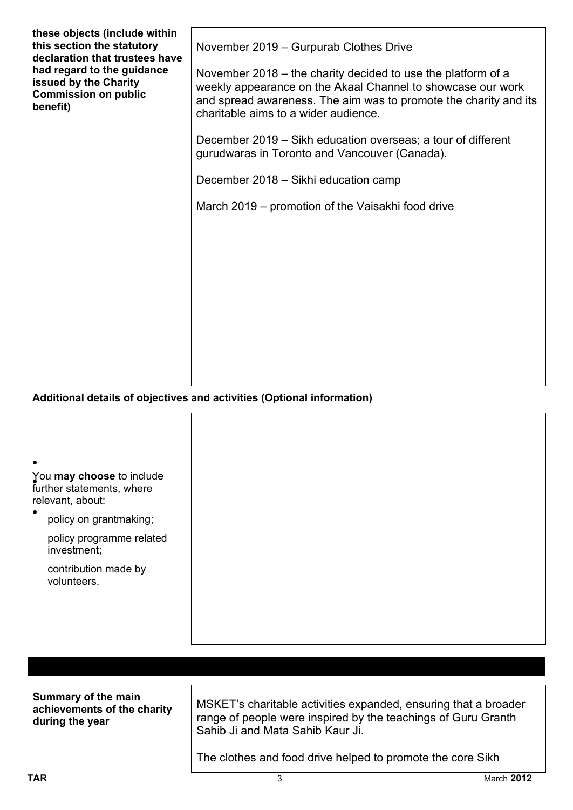| these objects (include within<br>this section the statutory<br>declaration that trustees have<br>had regard to the guidance<br>issued by the Charity<br><b>Commission on public</b><br>benefit) | November 2019 - Gurpurab Clothes Drive<br>November 2018 – the charity decided to use the platform of a<br>weekly appearance on the Akaal Channel to showcase our work<br>and spread awareness. The aim was to promote the charity and its<br>charitable aims to a wider audience.<br>December 2019 - Sikh education overseas; a tour of different<br>gurudwaras in Toronto and Vancouver (Canada).<br>December 2018 – Sikhi education camp<br>March 2019 – promotion of the Vaisakhi food drive |
|-------------------------------------------------------------------------------------------------------------------------------------------------------------------------------------------------|-------------------------------------------------------------------------------------------------------------------------------------------------------------------------------------------------------------------------------------------------------------------------------------------------------------------------------------------------------------------------------------------------------------------------------------------------------------------------------------------------|
|                                                                                                                                                                                                 |                                                                                                                                                                                                                                                                                                                                                                                                                                                                                                 |
|                                                                                                                                                                                                 | Additional details of objectives and activities (Optional information)                                                                                                                                                                                                                                                                                                                                                                                                                          |
|                                                                                                                                                                                                 |                                                                                                                                                                                                                                                                                                                                                                                                                                                                                                 |
|                                                                                                                                                                                                 |                                                                                                                                                                                                                                                                                                                                                                                                                                                                                                 |
| You may choose to include<br>further statements, where<br>relevant, about:                                                                                                                      |                                                                                                                                                                                                                                                                                                                                                                                                                                                                                                 |
| policy on grantmaking;                                                                                                                                                                          |                                                                                                                                                                                                                                                                                                                                                                                                                                                                                                 |
| policy programme related<br>investment:                                                                                                                                                         |                                                                                                                                                                                                                                                                                                                                                                                                                                                                                                 |
| contribution made by                                                                                                                                                                            |                                                                                                                                                                                                                                                                                                                                                                                                                                                                                                 |

| Summary of the main<br>achievements of the charity<br>during the year | MSKET's charitable activities expanded, ensuring that a broader<br>range of people were inspired by the teachings of Guru Granth<br>Sahib Ji and Mata Sahib Kaur Ji. |
|-----------------------------------------------------------------------|----------------------------------------------------------------------------------------------------------------------------------------------------------------------|
|                                                                       | The clothes and food drive helped to promote the core Sikh                                                                                                           |

volunteers.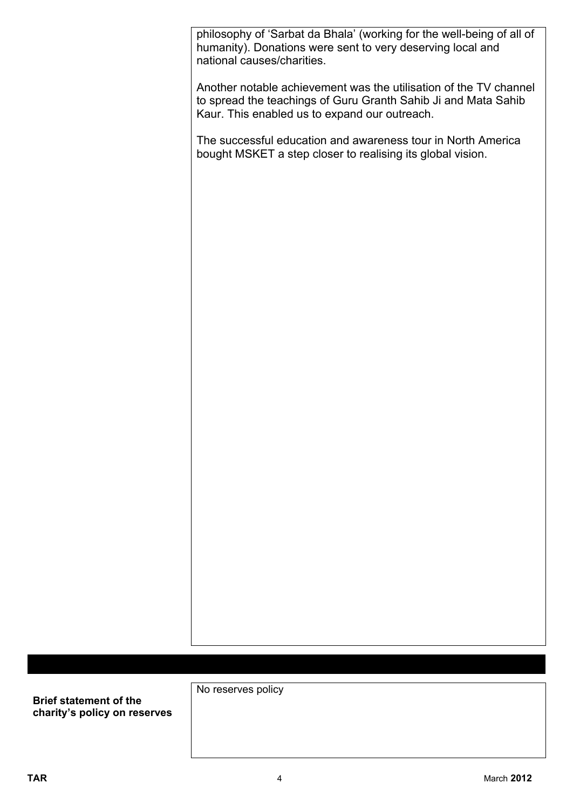**TAR** 

philosophy of 'Sarbat da Bhala' (working for the well-being of all of humanity). Donations were sent to very deserving local and national causes/charities.

Another notable achievement was the utilisation of the TV channel to spread the teachings of Guru Granth Sahib Ji and Mata Sahib Kaur. This enabled us to expand our outreach.

The successful education and awareness tour in North America bought MSKET a step closer to realising its global vision.

No reserves policy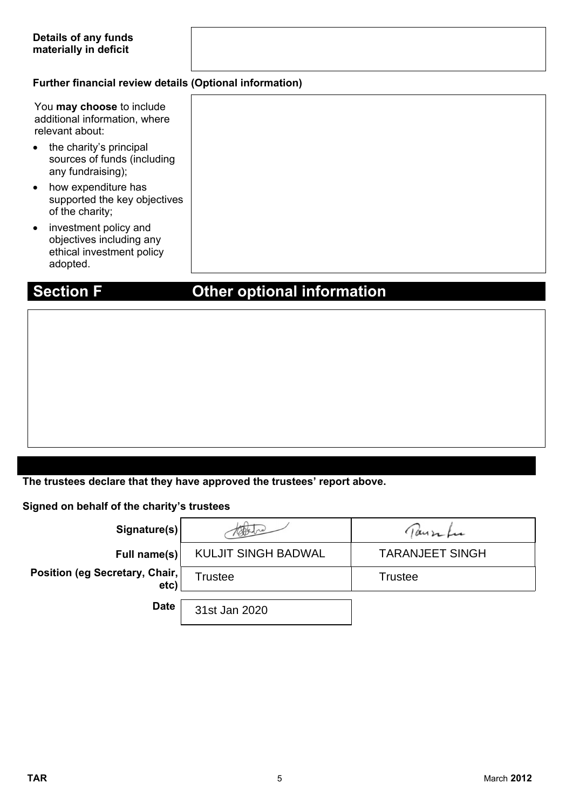### **Further financial review details (Optional information)**

|           | You may choose to include<br>additional information, where<br>relevant about:              |
|-----------|--------------------------------------------------------------------------------------------|
| $\bullet$ | the charity's principal<br>sources of funds (including<br>any fundraising);                |
| $\bullet$ | how expenditure has<br>supported the key objectives<br>of the charity;                     |
| $\bullet$ | investment policy and<br>objectives including any<br>ethical investment policy<br>adopted. |

# **Section F Other optional information**

**The trustees declare that they have approved the trustees' report above.** 

**Signed on behalf of the charity's trustees**

| Signature(s)                           | topsdre                    | Tausifu                |
|----------------------------------------|----------------------------|------------------------|
| Full name(s)                           | <b>KULJIT SINGH BADWAL</b> | <b>TARANJEET SINGH</b> |
| Position (eg Secretary, Chair,<br>etc) | <b>Trustee</b>             | <b>Trustee</b>         |
| <b>Date</b>                            | 31st Jan 2020              |                        |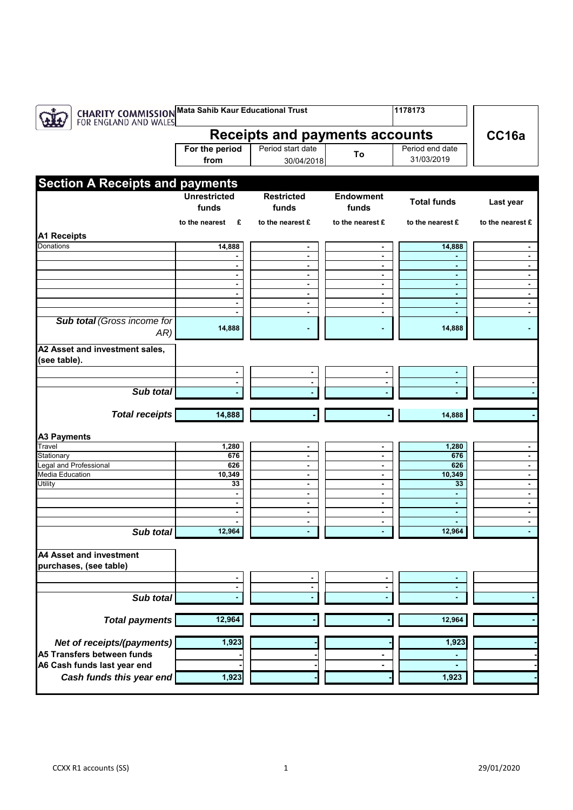| <b>CHARITY COMMISSION Mata Sahib Kaur Educational Trust</b><br>FOR ENGLAND AND WALES<br>1178173 |                     |                                  |                                  |                     |                                  |  |  |  |
|-------------------------------------------------------------------------------------------------|---------------------|----------------------------------|----------------------------------|---------------------|----------------------------------|--|--|--|
| <b>Receipts and payments accounts</b>                                                           |                     |                                  |                                  |                     |                                  |  |  |  |
|                                                                                                 | For the period      | Period start date                | To                               | Period end date     |                                  |  |  |  |
|                                                                                                 | from                | 30/04/2018                       |                                  | 31/03/2019          |                                  |  |  |  |
|                                                                                                 |                     |                                  |                                  |                     |                                  |  |  |  |
| <b>Section A Receipts and payments</b>                                                          |                     |                                  |                                  |                     |                                  |  |  |  |
|                                                                                                 | <b>Unrestricted</b> | <b>Restricted</b>                | <b>Endowment</b>                 | <b>Total funds</b>  | Last year                        |  |  |  |
|                                                                                                 | funds               | funds                            | funds                            |                     |                                  |  |  |  |
|                                                                                                 | to the nearest $E$  | to the nearest £                 | to the nearest £                 | to the nearest £    | to the nearest £                 |  |  |  |
|                                                                                                 |                     |                                  |                                  |                     |                                  |  |  |  |
| <b>A1 Receipts</b>                                                                              |                     |                                  |                                  |                     |                                  |  |  |  |
| Donations                                                                                       | 14,888              | $\blacksquare$                   | $\blacksquare$                   | 14,888              | $\blacksquare$                   |  |  |  |
|                                                                                                 |                     | $\blacksquare$<br>$\blacksquare$ | $\blacksquare$<br>$\blacksquare$ |                     | $\blacksquare$<br>$\blacksquare$ |  |  |  |
|                                                                                                 | $\blacksquare$      | $\blacksquare$                   | $\blacksquare$                   | $\blacksquare$      | $\blacksquare$                   |  |  |  |
|                                                                                                 |                     | $\overline{\phantom{a}}$         | $\blacksquare$                   | $\blacksquare$      | $\blacksquare$                   |  |  |  |
|                                                                                                 |                     | $\blacksquare$                   | $\blacksquare$                   | $\blacksquare$      | $\blacksquare$                   |  |  |  |
|                                                                                                 |                     | $\blacksquare$                   | $\blacksquare$                   | ٠                   | $\blacksquare$                   |  |  |  |
|                                                                                                 |                     | $\blacksquare$                   | $\blacksquare$                   | $\blacksquare$      | ۰                                |  |  |  |
| <b>Sub total (Gross income for</b><br>AR)                                                       | 14,888              |                                  |                                  | 14,888              |                                  |  |  |  |
| A2 Asset and investment sales,<br>(see table).                                                  |                     |                                  |                                  |                     |                                  |  |  |  |
|                                                                                                 | $\blacksquare$      |                                  | $\blacksquare$                   | $\blacksquare$      |                                  |  |  |  |
|                                                                                                 |                     |                                  | $\blacksquare$                   |                     |                                  |  |  |  |
| Sub total                                                                                       |                     |                                  |                                  |                     |                                  |  |  |  |
|                                                                                                 |                     |                                  |                                  |                     |                                  |  |  |  |
| <b>Total receipts</b>                                                                           | 14,888              |                                  |                                  | 14,888              |                                  |  |  |  |
| <b>A3 Payments</b>                                                                              |                     |                                  |                                  |                     |                                  |  |  |  |
| Travel                                                                                          | 1,280               |                                  |                                  | 1,280               | $\blacksquare$                   |  |  |  |
| Stationary                                                                                      | 676                 | $\blacksquare$                   | $\blacksquare$                   | 676                 | $\blacksquare$                   |  |  |  |
| Legal and Professional                                                                          | 626                 | $\blacksquare$                   | $\blacksquare$                   | 626                 | $\blacksquare$                   |  |  |  |
| <b>Media Education</b>                                                                          | 10,349              | $\blacksquare$                   | $\blacksquare$                   | 10,349              | $\blacksquare$                   |  |  |  |
| Utility                                                                                         | 33                  | $\blacksquare$                   | $\blacksquare$                   | 33                  | $\blacksquare$                   |  |  |  |
|                                                                                                 |                     | $\blacksquare$<br>$\blacksquare$ | $\blacksquare$<br>$\blacksquare$ | $\blacksquare$<br>٠ | $\blacksquare$<br>$\blacksquare$ |  |  |  |
|                                                                                                 |                     | $\overline{\phantom{a}}$         | $\blacksquare$                   | $\blacksquare$      | $\blacksquare$                   |  |  |  |
|                                                                                                 |                     | $\blacksquare$                   | $\blacksquare$                   |                     | $\blacksquare$                   |  |  |  |
| Sub total                                                                                       | 12,964              |                                  | $\blacksquare$                   | 12,964              |                                  |  |  |  |
| <b>A4 Asset and investment</b>                                                                  |                     |                                  |                                  |                     |                                  |  |  |  |
| purchases, (see table)                                                                          |                     |                                  |                                  |                     |                                  |  |  |  |
|                                                                                                 |                     |                                  |                                  |                     |                                  |  |  |  |
|                                                                                                 |                     |                                  |                                  |                     |                                  |  |  |  |
| Sub total                                                                                       |                     |                                  |                                  |                     |                                  |  |  |  |
|                                                                                                 |                     |                                  |                                  |                     |                                  |  |  |  |
| <b>Total payments</b>                                                                           | 12,964              |                                  |                                  | 12,964              |                                  |  |  |  |
|                                                                                                 |                     |                                  |                                  |                     |                                  |  |  |  |
| Net of receipts/(payments)                                                                      | 1,923               |                                  |                                  | 1,923               |                                  |  |  |  |
| A5 Transfers between funds                                                                      |                     |                                  |                                  |                     |                                  |  |  |  |
| A6 Cash funds last year end                                                                     |                     |                                  |                                  |                     |                                  |  |  |  |
|                                                                                                 |                     |                                  |                                  |                     |                                  |  |  |  |
| Cash funds this year end                                                                        | 1,923               |                                  |                                  | 1,923               |                                  |  |  |  |